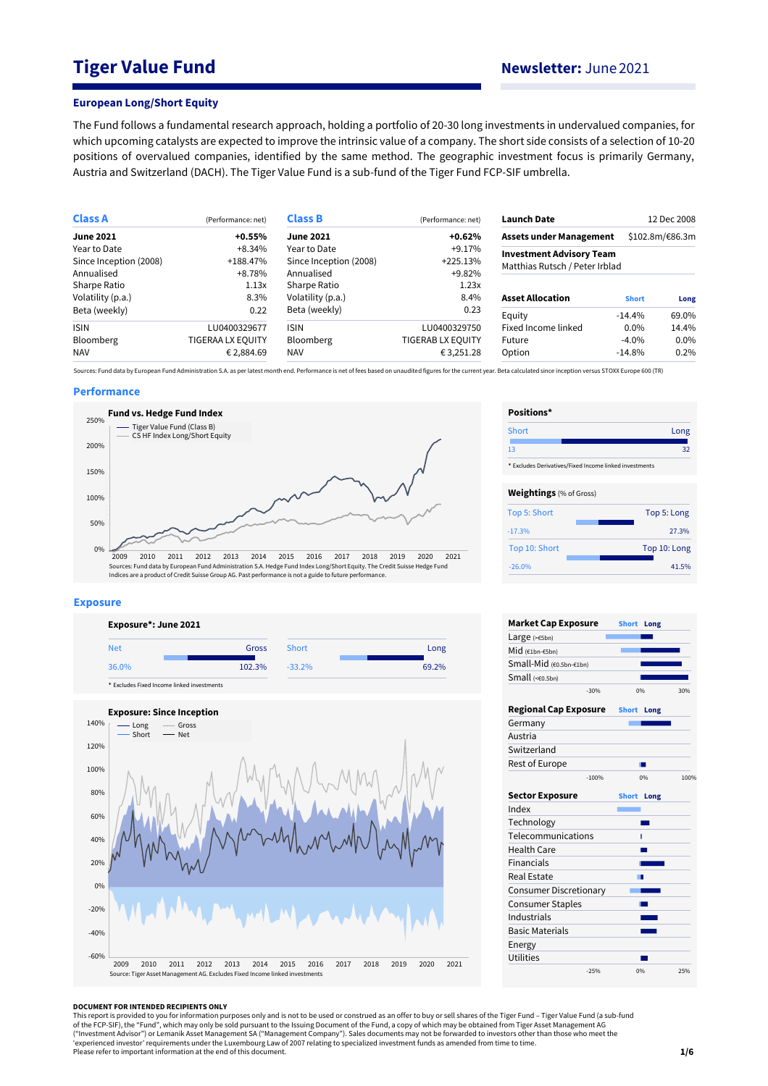# **Tiger Value Fund Newsletter:** June 2021

#### **European Long/Short Equity**

The Fund follows a fundamental research approach, holding a portfolio of 20-30 long investments in undervalued companies, for which upcoming catalysts are expected to improve the intrinsic value of a company. The short side consists of a selection of 10-20 positions of overvalued companies, identified by the same method. The geographic investment focus is primarily Germany, Austria and Switzerland (DACH). The Tiger Value Fund is a sub-fund of the Tiger Fund FCP-SIF umbrella.

| (Performance: net) | <b>Class B</b>         | (Performance: net) | <b>Launch Date</b>      |              | 12 Dec 2008                                                                                         |
|--------------------|------------------------|--------------------|-------------------------|--------------|-----------------------------------------------------------------------------------------------------|
| $+0.55%$           | <b>June 2021</b>       | $+0.62%$           |                         |              | \$102.8m/€86.3m                                                                                     |
| $+8.34%$           | Year to Date           | $+9.17%$           |                         |              |                                                                                                     |
| $+188.47%$         | Since Inception (2008) | $+225.13%$         |                         |              |                                                                                                     |
| +8.78%             | Annualised             | +9.82%             |                         |              |                                                                                                     |
| 1.13x              | Sharpe Ratio           | 1.23x              |                         |              |                                                                                                     |
| 8.3%               | Volatility (p.a.)      | 8.4%               | <b>Asset Allocation</b> | <b>Short</b> | Long                                                                                                |
| 0.22               | Beta (weekly)          | 0.23               | Equity                  | $-14.4%$     | 69.0%                                                                                               |
| LU0400329677       | <b>ISIN</b>            | LU0400329750       | Fixed Income linked     | $0.0\%$      | 14.4%                                                                                               |
| TIGERAA LX EQUITY  | Bloomberg              | TIGERAB LX EQUITY  | Future                  | $-4.0\%$     | $0.0\%$                                                                                             |
| € 2,884.69         | <b>NAV</b>             | €3,251.28          | Option                  | $-14.8%$     | 0.2%                                                                                                |
|                    |                        |                    |                         |              | <b>Assets under Management</b><br><b>Investment Advisory Team</b><br>Matthias Rutsch / Peter Irblad |

Sources: Fund data by European Fund Administration S.A. as per latest month end. Performance is net of fees based on unaudited figures for the current year. Beta calculated since inception versus STOXX Europe 600 (TR)

### **Performance**



#### **Exposure**



**Exposure: Since Inception** 140% 120% 100% 80% 60% 40% 20% 0% -20%  $-40%$ -60%  $\frac{1}{\sqrt{1-\lambda}}$  Gross Long<br>Short Source: Tiger Asset Management AG. Excludes Fixed Income linked investments 2009 2010 2011 2012 2013 2014 2015 2016 2017 2018 2019 2020 2021

| Positions*                     |                                                        |
|--------------------------------|--------------------------------------------------------|
| Short                          | Long                                                   |
| 13                             | 32                                                     |
|                                | * Excludes Derivatives/Fixed Income linked investments |
| <b>Weightings</b> (% of Gross) |                                                        |
| Top 5: Short                   | Top 5: Long                                            |
| $-17.3%$                       | 27.3%                                                  |
| Top 10: Short                  | Top 10: Long                                           |
| $-26.0%$                       | 41.5%                                                  |

| <b>Market Cap Exposure</b>    |         | <b>Short</b> | Long |      |
|-------------------------------|---------|--------------|------|------|
| Large $(>=5bn)$               |         |              |      |      |
| Mid (€1bn-€5bn)               |         |              |      |      |
| Small-Mid (€0.5bn-€1bn)       |         |              |      |      |
| Small $(60.5bn)$              |         |              |      |      |
|                               | $-30%$  |              | 0%   | 30%  |
| <b>Regional Cap Exposure</b>  |         | <b>Short</b> | Long |      |
| Germany                       |         |              |      |      |
| Austria                       |         |              |      |      |
| Switzerland                   |         |              |      |      |
| Rest of Europe                |         |              | г    |      |
|                               | $-100%$ |              | 0%   | 100% |
| <b>Sector Exposure</b>        |         | <b>Short</b> | Long |      |
| Index                         |         |              |      |      |
| Technology                    |         |              |      |      |
| Telecommunications            |         |              | ı    |      |
| <b>Health Care</b>            |         |              |      |      |
| <b>Financials</b>             |         |              |      |      |
| <b>Real Estate</b>            |         |              |      |      |
| <b>Consumer Discretionary</b> |         |              |      |      |
| <b>Consumer Staples</b>       |         |              |      |      |
| Industrials                   |         |              |      |      |
| <b>Basic Materials</b>        |         |              |      |      |
| Energy                        |         |              |      |      |
| <b>Utilities</b>              |         |              |      |      |
|                               | $-25%$  |              | 0%   | 25%  |

#### **DOCUMENT FOR INTENDED RECIPIENTS ONLY**

This report is provided to you for information purposes only and is not to be used or construed as an offer to buy or sell shares of the Tiger Fund – Tiger Value Fund (a sub-fund<br>of the FCP-SIF), the "Fund", which may only ("Investment Advisor") or Lemanik Asset Management SA ("Management Company"). Sales documents may not be forwarded to investors other than those who meet the<br>'experienced investor' requirements under the Luxembourg Law of Please refer to important information at the end of this document.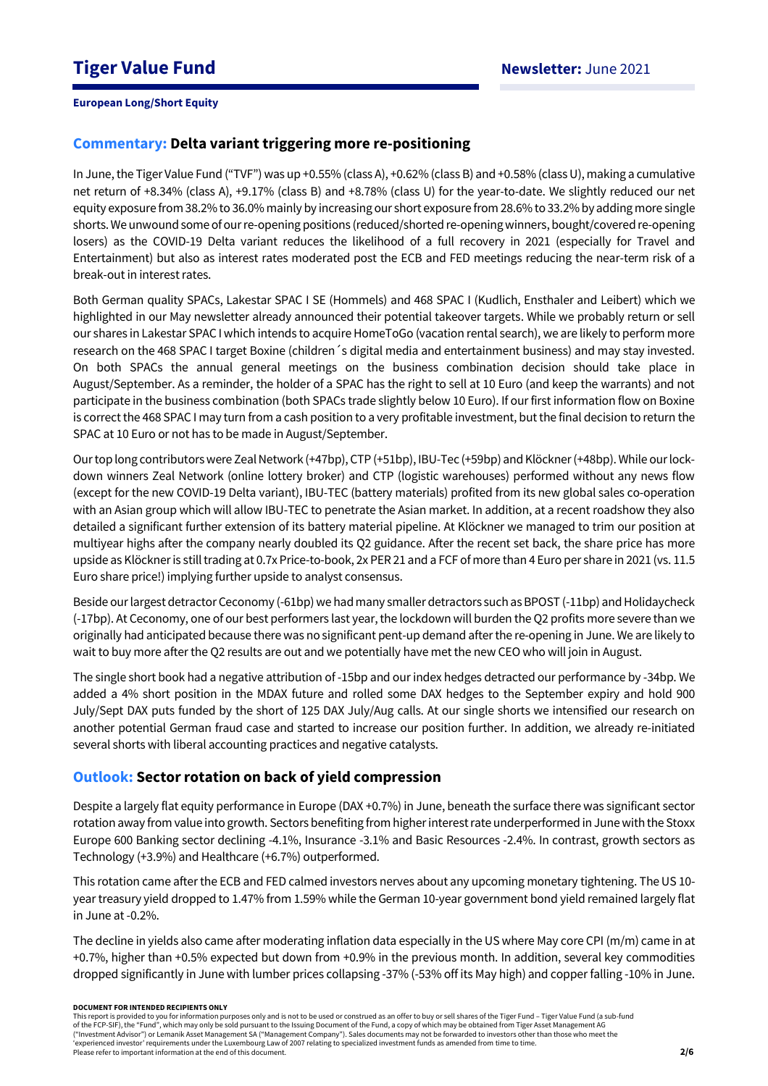## **Commentary: Delta variant triggering more re-positioning**

In June, the Tiger Value Fund ("TVF") was up +0.55% (class A), +0.62% (class B) and +0.58% (class U), making a cumulative net return of +8.34% (class A), +9.17% (class B) and +8.78% (class U) for the year-to-date. We slightly reduced our net equity exposure from 38.2% to 36.0% mainly by increasing our short exposure from 28.6% to 33.2% by adding more single shorts. We unwound some of our re-opening positions (reduced/shorted re-opening winners, bought/covered re-opening losers) as the COVID-19 Delta variant reduces the likelihood of a full recovery in 2021 (especially for Travel and Entertainment) but also as interest rates moderated post the ECB and FED meetings reducing the near-term risk of a break-out in interest rates.

Both German quality SPACs, Lakestar SPAC I SE (Hommels) and 468 SPAC I (Kudlich, Ensthaler and Leibert) which we highlighted in our May newsletter already announced their potential takeover targets. While we probably return or sell our shares in Lakestar SPAC I which intends to acquire HomeToGo (vacation rental search), we are likely to perform more research on the 468 SPAC I target Boxine (children´s digital media and entertainment business) and may stay invested. On both SPACs the annual general meetings on the business combination decision should take place in August/September. As a reminder, the holder of a SPAC has the right to sell at 10 Euro (and keep the warrants) and not participate in the business combination (both SPACs trade slightly below 10 Euro). If our first information flow on Boxine is correct the 468 SPAC I may turn from a cash position to a very profitable investment, but the final decision to return the SPAC at 10 Euro or not has to be made in August/September.

Our top long contributors were Zeal Network (+47bp), CTP (+51bp), IBU-Tec (+59bp) and Klöckner (+48bp). While our lockdown winners Zeal Network (online lottery broker) and CTP (logistic warehouses) performed without any news flow (except for the new COVID-19 Delta variant), IBU-TEC (battery materials) profited from its new global sales co-operation with an Asian group which will allow IBU-TEC to penetrate the Asian market. In addition, at a recent roadshow they also detailed a significant further extension of its battery material pipeline. At Klöckner we managed to trim our position at multiyear highs after the company nearly doubled its Q2 guidance. After the recent set back, the share price has more upside as Klöckner is still trading at 0.7x Price-to-book, 2x PER 21 and a FCF of more than 4 Euro per share in 2021 (vs. 11.5 Euro share price!) implying further upside to analyst consensus.

Beside our largest detractor Ceconomy (-61bp) we had many smaller detractors such as BPOST (-11bp) and Holidaycheck (-17bp). At Ceconomy, one of our best performers last year, the lockdown will burden the Q2 profits more severe than we originally had anticipated because there was no significant pent-up demand after the re-opening in June. We are likely to wait to buy more after the Q2 results are out and we potentially have met the new CEO who will join in August.

The single short book had a negative attribution of -15bp and our index hedges detracted our performance by -34bp. We added a 4% short position in the MDAX future and rolled some DAX hedges to the September expiry and hold 900 July/Sept DAX puts funded by the short of 125 DAX July/Aug calls. At our single shorts we intensified our research on another potential German fraud case and started to increase our position further. In addition, we already re-initiated several shorts with liberal accounting practices and negative catalysts.

# **Outlook: Sector rotation on back of yield compression**

Despite a largely flat equity performance in Europe (DAX +0.7%) in June, beneath the surface there was significant sector rotation away from value into growth. Sectors benefiting from higher interest rate underperformed in June with the Stoxx Europe 600 Banking sector declining -4.1%, Insurance -3.1% and Basic Resources -2.4%. In contrast, growth sectors as Technology (+3.9%) and Healthcare (+6.7%) outperformed.

This rotation came after the ECB and FED calmed investors nerves about any upcoming monetary tightening. The US 10 year treasury yield dropped to 1.47% from 1.59% while the German 10-year government bond yield remained largely flat in June at -0.2%.

The decline in yields also came after moderating inflation data especially in the US where May core CPI (m/m) came in at +0.7%, higher than +0.5% expected but down from +0.9% in the previous month. In addition, several key commodities dropped significantly in June with lumber prices collapsing -37% (-53% off its May high) and copper falling -10% in June.

#### **DOCUMENT FOR INTENDED RECIPIENTS ONLY**

This report is provided to you for information purposes only and is not to be used or construed as an offer to buy or sell shares of the Tiger Fund – Tiger Value Fund (a sub-fund of the FCP-SIF), the "Fund", which may only be sold pursuant to the Issuing Document of the Fund, a copy of which may be obtained from Tiger Asset Management AG ("Investment Advisor") or Lemanik Asset Management SA ("Management Company"). Sales documents may not be forwarded to investors other than those who meet the 'experienced investor' requirements under the Luxembourg Law of 2007 relating to specialized investment funds as amended from time to time. Please refer to important information at the end of this document.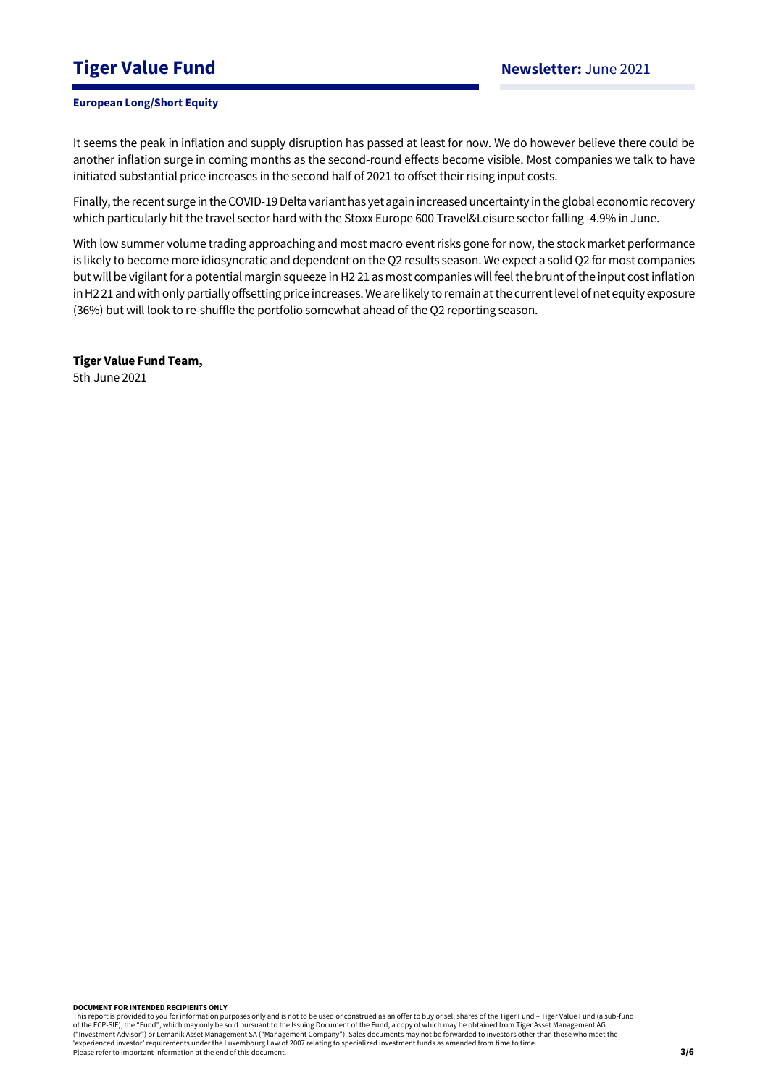# **Tiger Value Fund Newsletter:** June 2021

## **European Long/Short Equity**

It seems the peak in inflation and supply disruption has passed at least for now. We do however believe there could be another inflation surge in coming months as the second-round effects become visible. Most companies we talk to have initiated substantial price increases in the second half of 2021 to offset their rising input costs.

Finally, the recent surge in the COVID-19 Delta variant has yet again increased uncertainty in the global economic recovery which particularly hit the travel sector hard with the Stoxx Europe 600 Travel&Leisure sector falling -4.9% in June.

With low summer volume trading approaching and most macro event risks gone for now, the stock market performance is likely to become more idiosyncratic and dependent on the Q2 results season. We expect a solid Q2 for most companies but will be vigilant for a potential margin squeeze in H2 21 as most companies will feel the brunt of the input cost inflation in H2 21 and with only partiallyoffsetting price increases. We are likely to remain at the current level of net equity exposure (36%) but will look to re-shuffle the portfolio somewhat ahead of the Q2 reporting season.

**Tiger Value Fund Team,**  5th June 2021

**DOCUMENT FOR INTENDED RECIPIENTS ONLY**

This report is provided to you for information purposes only and is not to be used or construed as an offer to buy or sell shares of the Tiger Fund – Tiger Value Fund (a sub-fund<br>of the FCP-SIF), the "Fund", which may only ("Investment Advisor") or Lemanik Asset Management SA ("Management Company"). Sales documents may not be forwarded to investors other than those who meet the 'experienced investor' requirements under the Luxembourg Law of 2007 relating to specialized investment funds as amended from time to time. Please refer to important information at the end of this document.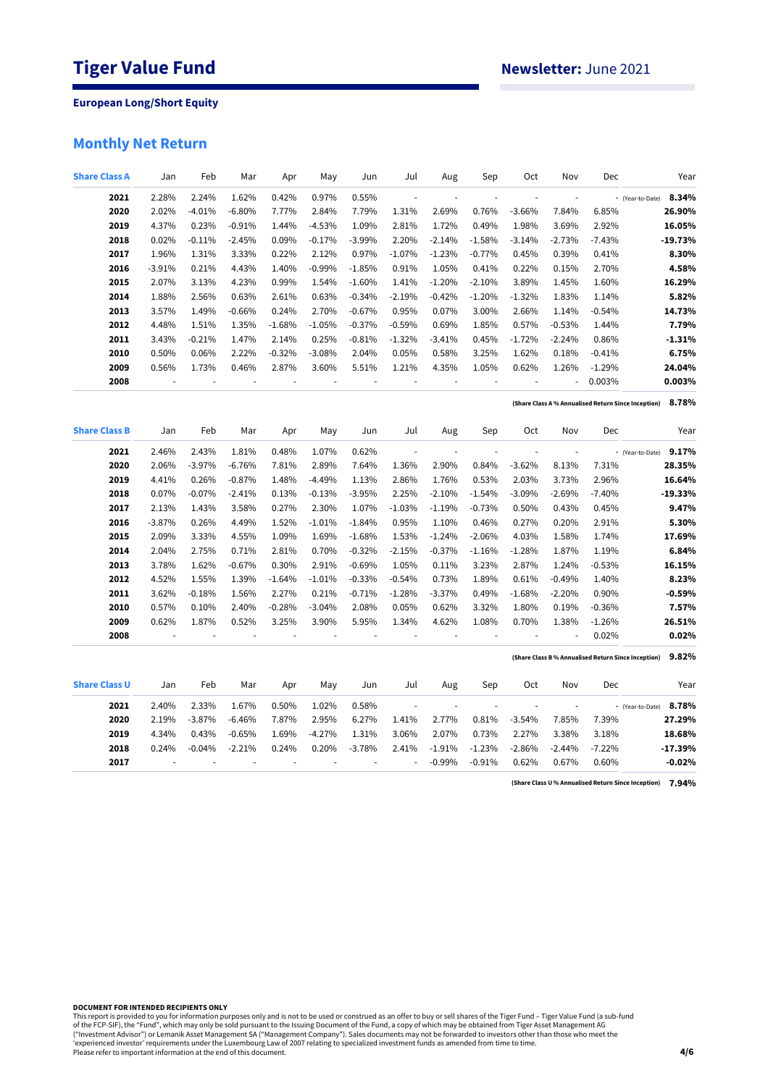# **Monthly Net Return**

| <b>Share Class A</b> | Jan      | Feb      | Mar      | Apr      | May            | Jun      | Jul                      | Aug                      | Sep                      | Oct      | Nov                      | Dec       | Year                                                         |
|----------------------|----------|----------|----------|----------|----------------|----------|--------------------------|--------------------------|--------------------------|----------|--------------------------|-----------|--------------------------------------------------------------|
| 2021                 | 2.28%    | 2.24%    | 1.62%    | 0.42%    | 0.97%          | 0.55%    | ÷,                       | ÷,                       |                          | J.       | ÷,                       |           | 8.34%<br>- (Year-to-Date)                                    |
| 2020                 | 2.02%    | $-4.01%$ | $-6.80%$ | 7.77%    | 2.84%          | 7.79%    | 1.31%                    | 2.69%                    | 0.76%                    | $-3.66%$ | 7.84%                    | 6.85%     | 26.90%                                                       |
| 2019                 | 4.37%    | 0.23%    | $-0.91%$ | 1.44%    | $-4.53%$       | 1.09%    | 2.81%                    | 1.72%                    | 0.49%                    | 1.98%    | 3.69%                    | 2.92%     | 16.05%                                                       |
| 2018                 | 0.02%    | $-0.11%$ | $-2.45%$ | 0.09%    | $-0.17%$       | $-3.99%$ | 2.20%                    | $-2.14%$                 | $-1.58%$                 | $-3.14%$ | $-2.73%$                 | $-7.43%$  | $-19.73%$                                                    |
| 2017                 | 1.96%    | 1.31%    | 3.33%    | 0.22%    | 2.12%          | 0.97%    | $-1.07%$                 | $-1.23%$                 | $-0.77%$                 | 0.45%    | 0.39%                    | 0.41%     | 8.30%                                                        |
| 2016                 | $-3.91%$ | 0.21%    | 4.43%    | 1.40%    | $-0.99%$       | $-1.85%$ | 0.91%                    | 1.05%                    | 0.41%                    | 0.22%    | 0.15%                    | 2.70%     | 4.58%                                                        |
| 2015                 | 2.07%    | 3.13%    | 4.23%    | 0.99%    | 1.54%          | $-1.60%$ | 1.41%                    | $-1.20%$                 | $-2.10%$                 | 3.89%    | 1.45%                    | 1.60%     | 16.29%                                                       |
| 2014                 | 1.88%    | 2.56%    | 0.63%    | 2.61%    | 0.63%          | $-0.34%$ | $-2.19%$                 | $-0.42%$                 | $-1.20%$                 | $-1.32%$ | 1.83%                    | 1.14%     | 5.82%                                                        |
| 2013                 | 3.57%    | 1.49%    | $-0.66%$ | 0.24%    | 2.70%          | $-0.67%$ | 0.95%                    | 0.07%                    | 3.00%                    | 2.66%    | 1.14%                    | $-0.54%$  | 14.73%                                                       |
| 2012                 | 4.48%    | 1.51%    | 1.35%    | $-1.68%$ | $-1.05%$       | $-0.37%$ | $-0.59%$                 | 0.69%                    | 1.85%                    | 0.57%    | $-0.53%$                 | 1.44%     | 7.79%                                                        |
| 2011                 | 3.43%    | $-0.21%$ | 1.47%    | 2.14%    | 0.25%          | $-0.81%$ | $-1.32%$                 | $-3.41%$                 | 0.45%                    | $-1.72%$ | $-2.24%$                 | 0.86%     | $-1.31%$                                                     |
| 2010                 | 0.50%    | 0.06%    | 2.22%    | $-0.32%$ | $-3.08%$       | 2.04%    | 0.05%                    | 0.58%                    | 3.25%                    | 1.62%    | 0.18%                    | $-0.41%$  | 6.75%                                                        |
| 2009                 | 0.56%    | 1.73%    | 0.46%    | 2.87%    | 3.60%          | 5.51%    | 1.21%                    | 4.35%                    | 1.05%                    | 0.62%    | 1.26%                    | $-1.29%$  | 24.04%                                                       |
| 2008                 |          |          |          | Ĭ.       | $\overline{a}$ |          |                          | ÷,                       | ÷                        | i,       |                          | 0.003%    | 0.003%                                                       |
|                      |          |          |          |          |                |          |                          |                          |                          |          |                          |           | 8.78%<br>(Share Class A % Annualised Return Since Inception) |
| <b>Share Class B</b> | Jan      | Feb      | Mar      | Apr      | May            | Jun      | Jul                      | Aug                      | Sep                      | Oct      | Nov                      | Dec       | Year                                                         |
| 2021                 | 2.46%    | 2.43%    | 1.81%    | 0.48%    | 1.07%          | 0.62%    | $\blacksquare$           | $\overline{\phantom{a}}$ |                          | ÷        | $\frac{1}{2}$            |           | 9.17%<br>- (Year-to-Date)                                    |
| 2020                 | 2.06%    | $-3.97%$ | $-6.76%$ | 7.81%    | 2.89%          | 7.64%    | 1.36%                    | 2.90%                    | 0.84%                    | $-3.62%$ | 8.13%                    | 7.31%     | 28.35%                                                       |
| 2019                 | 4.41%    | 0.26%    | $-0.87%$ | 1.48%    | $-4.49%$       | 1.13%    | 2.86%                    | 1.76%                    | 0.53%                    | 2.03%    | 3.73%                    | 2.96%     | 16.64%                                                       |
| 2018                 | 0.07%    | $-0.07%$ | $-2.41%$ | 0.13%    | $-0.13%$       | $-3.95%$ | 2.25%                    | $-2.10%$                 | $-1.54%$                 | $-3.09%$ | $-2.69%$                 | $-7.40%$  | $-19.33%$                                                    |
| 2017                 | 2.13%    | 1.43%    | 3.58%    | 0.27%    | 2.30%          | 1.07%    | $-1.03%$                 | $-1.19%$                 | $-0.73%$                 | 0.50%    | 0.43%                    | 0.45%     | 9.47%                                                        |
| 2016                 | $-3.87%$ | 0.26%    | 4.49%    | 1.52%    | $-1.01%$       | $-1.84%$ | 0.95%                    | 1.10%                    | 0.46%                    | 0.27%    | 0.20%                    | 2.91%     | 5.30%                                                        |
| 2015                 | 2.09%    | 3.33%    | 4.55%    | 1.09%    | 1.69%          | $-1.68%$ | 1.53%                    | $-1.24%$                 | $-2.06%$                 | 4.03%    | 1.58%                    | 1.74%     | 17.69%                                                       |
| 2014                 | 2.04%    | 2.75%    | 0.71%    | 2.81%    | 0.70%          | $-0.32%$ | $-2.15%$                 | $-0.37%$                 | $-1.16%$                 | $-1.28%$ | 1.87%                    | 1.19%     | 6.84%                                                        |
| 2013                 | 3.78%    | 1.62%    | $-0.67%$ | 0.30%    | 2.91%          | $-0.69%$ | 1.05%                    | 0.11%                    | 3.23%                    | 2.87%    | 1.24%                    | $-0.53%$  | 16.15%                                                       |
| 2012                 | 4.52%    | 1.55%    | 1.39%    | $-1.64%$ | $-1.01%$       | $-0.33%$ | $-0.54%$                 | 0.73%                    | 1.89%                    | 0.61%    | $-0.49%$                 | 1.40%     | 8.23%                                                        |
| 2011                 | 3.62%    | $-0.18%$ | 1.56%    | 2.27%    | 0.21%          | $-0.71%$ | $-1.28%$                 | $-3.37%$                 | 0.49%                    | $-1.68%$ | $-2.20%$                 | 0.90%     | $-0.59%$                                                     |
| 2010                 | 0.57%    | 0.10%    | 2.40%    | $-0.28%$ | $-3.04%$       | 2.08%    | 0.05%                    | 0.62%                    | 3.32%                    | 1.80%    | 0.19%                    | $-0.36%$  | 7.57%                                                        |
| 2009                 | 0.62%    | 1.87%    | 0.52%    | 3.25%    | 3.90%          | 5.95%    | 1.34%                    | 4.62%                    | 1.08%                    | 0.70%    | 1.38%                    | $-1.26%$  | 26.51%                                                       |
| 2008                 | ÷,       |          |          |          |                |          |                          |                          | $\overline{\phantom{a}}$ | i,       | ÷,                       | 0.02%     | 0.02%                                                        |
|                      |          |          |          |          |                |          |                          |                          |                          |          |                          |           | 9.82%<br>(Share Class B% Annualised Return Since Inception)  |
| <b>Share Class U</b> | Jan      | Feb      | Mar      | Apr      | May            | Jun      | Jul                      | Aug                      | Sep                      | Oct      | Nov                      | Dec       | Year                                                         |
| 2021                 | 2.40%    | 2.33%    | 1.67%    | 0.50%    | 1.02%          | 0.58%    | $\overline{\phantom{a}}$ | $\overline{\phantom{a}}$ |                          | ÷,       | $\overline{\phantom{a}}$ |           | 8.78%<br>- (Year-to-Date)                                    |
| 2020                 | 2.19%    | $-3.87%$ | $-6.46%$ | 7.87%    | 2.95%          | 6.27%    | 1.41%                    | 2.77%                    | 0.81%                    | $-3.54%$ | 7.85%                    | 7.39%     | 27.29%                                                       |
| 2019                 | 4.34%    | 0.43%    | $-0.65%$ | 1.69%    | $-4.27%$       | 1.31%    | 3.06%                    | 2.07%                    | 0.73%                    | 2.27%    | 3.38%                    | 3.18%     | 18.68%                                                       |
| 2018                 | 0.24%    | $-0.04%$ | $-2.21%$ | 0.24%    | 0.20%          | $-3.78%$ | 2.41%                    | $-1.91%$                 | $-1.23%$                 | $-2.86%$ | $-2.44%$                 | $-7.22\%$ | $-17.39%$                                                    |
| 2017                 |          |          |          |          |                |          | ä,                       | $-0.99%$                 | $-0.91%$                 | 0.62%    | 0.67%                    | 0.60%     | $-0.02%$                                                     |

**7.94% (Share Class U % Annualised Return Since Inception)**

**DOCUMENT FOR INTENDED RECIPIENTS ONLY**

This report is provided to you for information purposes only and is not to be used or construed as an offer to buy or sell shares of the Tiger Fund – Tiger Value Fund (a sub-fund<br>of the FCP-SIF), the "Fund", which may only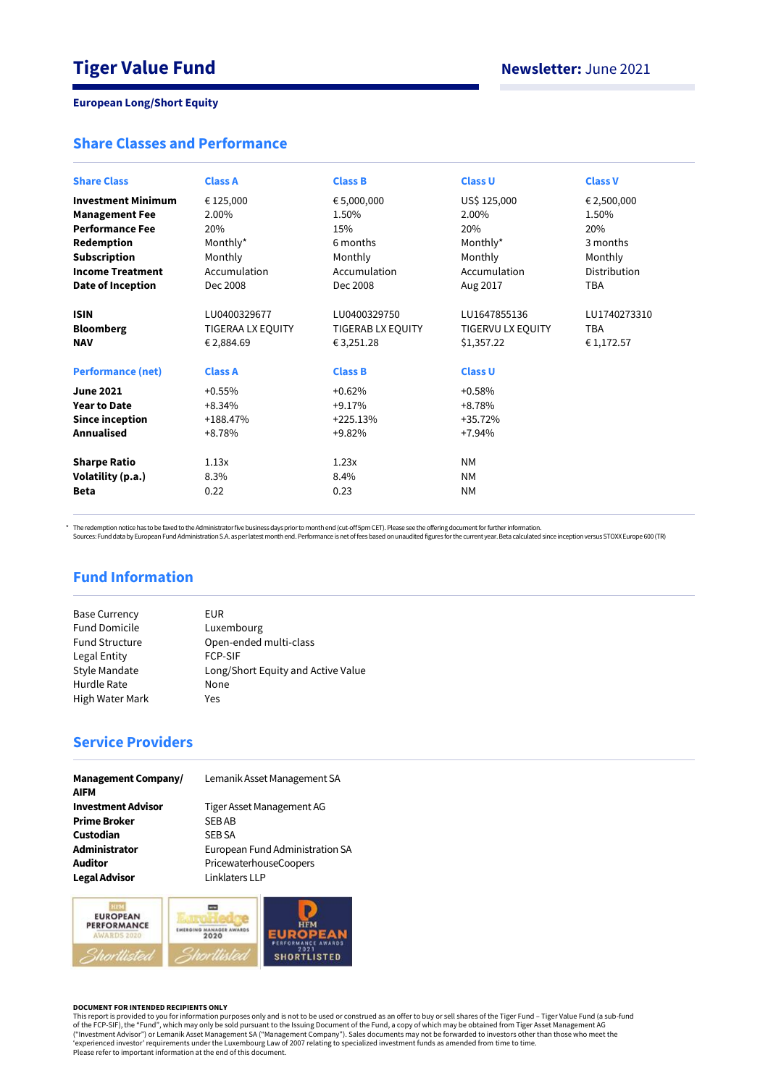# **Share Classes and Performance**

| <b>Share Class</b>                                                        | <b>Class A</b>                                                    | <b>Class B</b>                                                    | <b>Class U</b>                                                    | <b>Class V</b>                          |
|---------------------------------------------------------------------------|-------------------------------------------------------------------|-------------------------------------------------------------------|-------------------------------------------------------------------|-----------------------------------------|
| <b>Investment Minimum</b>                                                 | € 125,000                                                         | € 5,000,000                                                       | US\$ 125,000                                                      | € 2,500,000                             |
| <b>Management Fee</b>                                                     | 2.00%                                                             | 1.50%                                                             | 2.00%                                                             | 1.50%                                   |
| <b>Performance Fee</b>                                                    | 20%                                                               | 15%                                                               | 20%                                                               | 20%                                     |
| Redemption                                                                | Monthly*                                                          | 6 months                                                          | Monthly*                                                          | 3 months                                |
| <b>Subscription</b>                                                       | Monthly                                                           | Monthly                                                           | Monthly                                                           | Monthly                                 |
| <b>Income Treatment</b>                                                   | Accumulation                                                      | Accumulation                                                      | Accumulation                                                      | Distribution                            |
| <b>Date of Inception</b>                                                  | Dec 2008                                                          | Dec 2008                                                          | Aug 2017                                                          | <b>TBA</b>                              |
| <b>ISIN</b><br><b>Bloomberg</b><br><b>NAV</b><br><b>Performance (net)</b> | LU0400329677<br>TIGERAA LX EQUITY<br>€ 2,884.69<br><b>Class A</b> | LU0400329750<br>TIGERAB LX EQUITY<br>€ 3,251.28<br><b>Class B</b> | LU1647855136<br>TIGERVU LX EQUITY<br>\$1,357.22<br><b>Class U</b> | LU1740273310<br><b>TBA</b><br>€1,172.57 |
| <b>June 2021</b>                                                          | $+0.55%$                                                          | $+0.62%$                                                          | $+0.58%$                                                          |                                         |
| <b>Year to Date</b>                                                       | $+8.34%$                                                          | $+9.17%$                                                          | $+8.78%$                                                          |                                         |
| <b>Since inception</b>                                                    | $+188.47%$                                                        | $+225.13%$                                                        | $+35.72%$                                                         |                                         |
| <b>Annualised</b>                                                         | $+8.78%$                                                          | $+9.82%$                                                          | +7.94%                                                            |                                         |
| <b>Sharpe Ratio</b>                                                       | 1.13x                                                             | 1.23x                                                             | <b>NM</b>                                                         |                                         |
| Volatility (p.a.)                                                         | 8.3%                                                              | 8.4%                                                              | <b>NM</b>                                                         |                                         |
| <b>Beta</b>                                                               | 0.22                                                              | 0.23                                                              | <b>NM</b>                                                         |                                         |

\* The redemption notice has to be faxed to the Administrator five business days prior to month end (cut-off 5pm CET). Please see the offering document for further information.<br>Sources: Fund data by European Fund Administra

# **Fund Information**

| EUR                                |
|------------------------------------|
| Luxembourg                         |
| Open-ended multi-class             |
| <b>FCP-SIF</b>                     |
| Long/Short Equity and Active Value |
| None                               |
| Yes                                |
|                                    |

# **Service Providers**

| <b>Management Company/</b><br><b>AIFM</b> | Lemanik Asset Management SA     |
|-------------------------------------------|---------------------------------|
| <b>Investment Advisor</b>                 | Tiger Asset Management AG       |
| <b>Prime Broker</b>                       | <b>SEBAB</b>                    |
| Custodian                                 | <b>SEB SA</b>                   |
| Administrator                             | European Fund Administration SA |
| <b>Auditor</b>                            | PricewaterhouseCoopers          |
| <b>Legal Advisor</b>                      | Linklaters LLP                  |



### **DOCUMENT FOR INTENDED RECIPIENTS ONLY**

This report is provided to you for information purposes only and is not to be used or construed as an offer to buy or sell shares of the Tiger Fund – Tiger Value Fund (a sub-fund<br>of the FCP-SIF), the "Fund", which may only